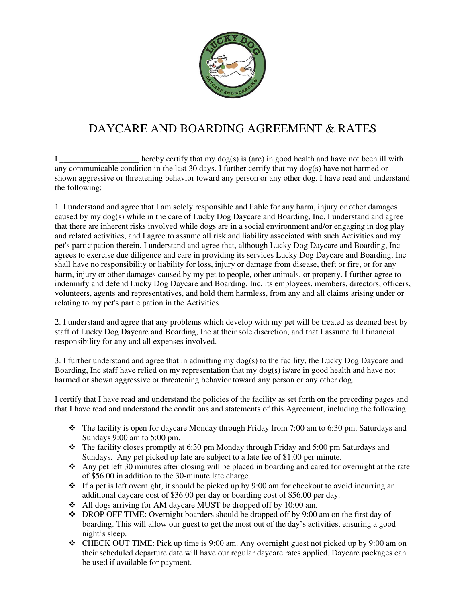

## DAYCARE AND BOARDING AGREEMENT & RATES

I hereby certify that my dog(s) is (are) in good health and have not been ill with any communicable condition in the last 30 days. I further certify that my dog(s) have not harmed or shown aggressive or threatening behavior toward any person or any other dog. I have read and understand the following:

1. I understand and agree that I am solely responsible and liable for any harm, injury or other damages caused by my dog(s) while in the care of Lucky Dog Daycare and Boarding, Inc. I understand and agree that there are inherent risks involved while dogs are in a social environment and/or engaging in dog play and related activities, and I agree to assume all risk and liability associated with such Activities and my pet's participation therein. I understand and agree that, although Lucky Dog Daycare and Boarding, Inc agrees to exercise due diligence and care in providing its services Lucky Dog Daycare and Boarding, Inc shall have no responsibility or liability for loss, injury or damage from disease, theft or fire, or for any harm, injury or other damages caused by my pet to people, other animals, or property. I further agree to indemnify and defend Lucky Dog Daycare and Boarding, Inc, its employees, members, directors, officers, volunteers, agents and representatives, and hold them harmless, from any and all claims arising under or relating to my pet's participation in the Activities.

2. I understand and agree that any problems which develop with my pet will be treated as deemed best by staff of Lucky Dog Daycare and Boarding, Inc at their sole discretion, and that I assume full financial responsibility for any and all expenses involved.

3. I further understand and agree that in admitting my dog(s) to the facility, the Lucky Dog Daycare and Boarding, Inc staff have relied on my representation that my dog(s) is/are in good health and have not harmed or shown aggressive or threatening behavior toward any person or any other dog.

I certify that I have read and understand the policies of the facility as set forth on the preceding pages and that I have read and understand the conditions and statements of this Agreement, including the following:

- $\div$  The facility is open for daycare Monday through Friday from 7:00 am to 6:30 pm. Saturdays and Sundays 9:00 am to 5:00 pm.
- The facility closes promptly at 6:30 pm Monday through Friday and 5:00 pm Saturdays and Sundays. Any pet picked up late are subject to a late fee of \$1.00 per minute.
- Any pet left 30 minutes after closing will be placed in boarding and cared for overnight at the rate of \$56.00 in addition to the 30-minute late charge.
- $\cdot \cdot$  If a pet is left overnight, it should be picked up by 9:00 am for checkout to avoid incurring an additional daycare cost of \$36.00 per day or boarding cost of \$56.00 per day.
- All dogs arriving for AM daycare MUST be dropped off by 10:00 am.
- DROP OFF TIME: Overnight boarders should be dropped off by 9:00 am on the first day of boarding. This will allow our guest to get the most out of the day's activities, ensuring a good night's sleep.
- CHECK OUT TIME: Pick up time is 9:00 am. Any overnight guest not picked up by 9:00 am on their scheduled departure date will have our regular daycare rates applied. Daycare packages can be used if available for payment.